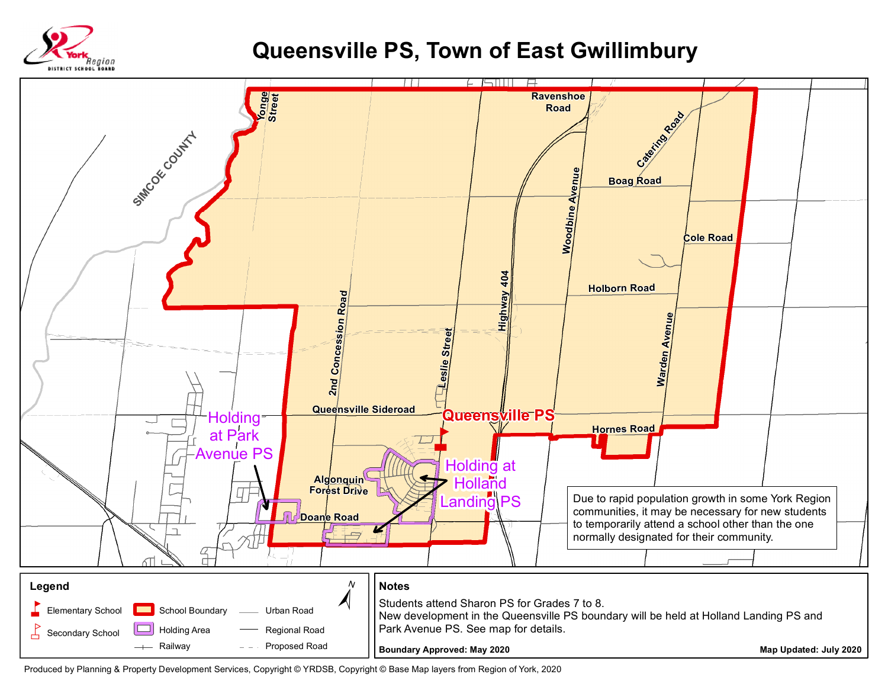

## **Queensville PS, Town of East Gwillimbury**



Produced by Planning & Property Development Services, Copyright © YRDSB, Copyright © Base Map layers from Region of York, 2020